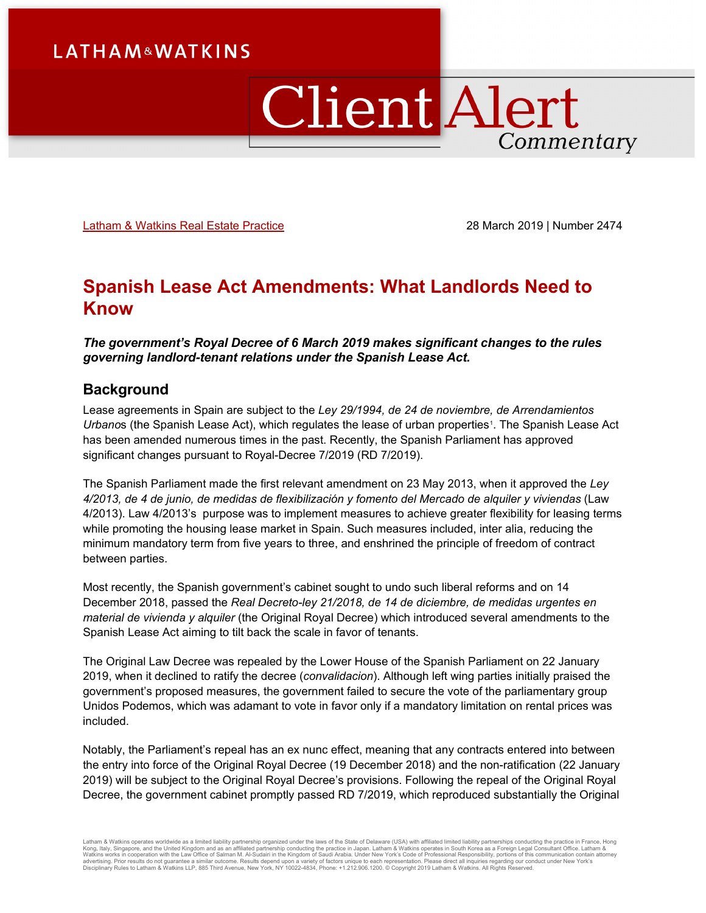# ClientAlert Commentary

[Latham & Watkins Real Estate Practice](https://www.lw.com/practices/RealEstate) 28 March 2019 | Number 2474

## **Spanish Lease Act Amendments: What Landlords Need to Know**

*The government's Royal Decree of 6 March 2019 makes significant changes to the rules governing landlord-tenant relations under the Spanish Lease Act.*

## **Background**

Lease agreements in Spain are subject to the *Ley 29/1994, de 24 de noviembre, de Arrendamientos*  Urbanos (the Spanish Lease Act), which regulates the lease of urban properties<sup>[1](#page-5-0)</sup>. The Spanish Lease Act has been amended numerous times in the past. Recently, the Spanish Parliament has approved significant changes pursuant to Royal-Decree 7/2019 (RD 7/2019).

The Spanish Parliament made the first relevant amendment on 23 May 2013, when it approved the *Ley 4/2013, de 4 de junio, de medidas de flexibilización y fomento del Mercado de alquiler y viviendas* (Law 4/2013). Law 4/2013's purpose was to implement measures to achieve greater flexibility for leasing terms while promoting the housing lease market in Spain. Such measures included, inter alia, reducing the minimum mandatory term from five years to three, and enshrined the principle of freedom of contract between parties.

Most recently, the Spanish government's cabinet sought to undo such liberal reforms and on 14 December 2018, passed the *Real Decreto-ley 21/2018, de 14 de diciembre, de medidas urgentes en material de vivienda y alquiler* (the Original Royal Decree) which introduced several amendments to the Spanish Lease Act aiming to tilt back the scale in favor of tenants.

The Original Law Decree was repealed by the Lower House of the Spanish Parliament on 22 January 2019, when it declined to ratify the decree (*convalidacion*). Although left wing parties initially praised the government's proposed measures, the government failed to secure the vote of the parliamentary group Unidos Podemos, which was adamant to vote in favor only if a mandatory limitation on rental prices was included.

Notably, the Parliament's repeal has an ex nunc effect, meaning that any contracts entered into between the entry into force of the Original Royal Decree (19 December 2018) and the non-ratification (22 January 2019) will be subject to the Original Royal Decree's provisions. Following the repeal of the Original Royal Decree, the government cabinet promptly passed RD 7/2019, which reproduced substantially the Original

Latham & Watkins operates worldwide as a limited liability partnership organized under the laws of the State of Delaware (USA) with affiliated limited liability partnerships conducting the practice in France, Hong<br>Kong, It Disciplinary Rules to Latham & Watkins LLP, 885 Third Avenue, New York, NY 10022-4834, Phone: +1.212.906.1200. © Copyright 2019 Latham & Watkins. All Rights Reserved.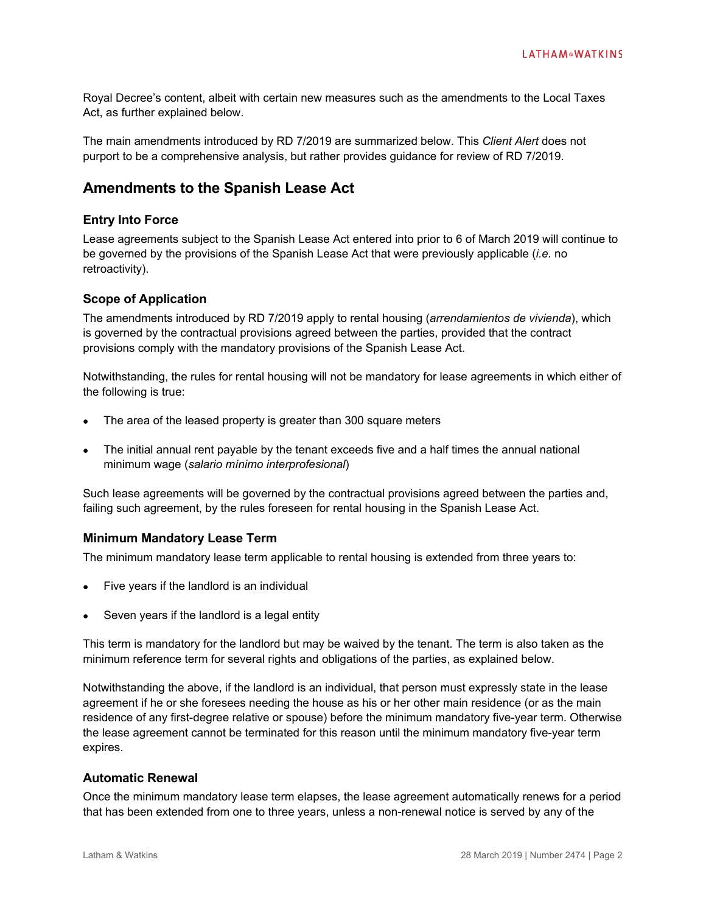Royal Decree's content, albeit with certain new measures such as the amendments to the Local Taxes Act, as further explained below.

The main amendments introduced by RD 7/2019 are summarized below. This *Client Alert* does not purport to be a comprehensive analysis, but rather provides guidance for review of RD 7/2019.

## **Amendments to the Spanish Lease Act**

## **Entry Into Force**

Lease agreements subject to the Spanish Lease Act entered into prior to 6 of March 2019 will continue to be governed by the provisions of the Spanish Lease Act that were previously applicable (*i.e.* no retroactivity).

## **Scope of Application**

The amendments introduced by RD 7/2019 apply to rental housing (*arrendamientos de vivienda*), which is governed by the contractual provisions agreed between the parties, provided that the contract provisions comply with the mandatory provisions of the Spanish Lease Act.

Notwithstanding, the rules for rental housing will not be mandatory for lease agreements in which either of the following is true:

- The area of the leased property is greater than 300 square meters
- The initial annual rent payable by the tenant exceeds five and a half times the annual national minimum wage (*salario mínimo interprofesional*)

Such lease agreements will be governed by the contractual provisions agreed between the parties and, failing such agreement, by the rules foreseen for rental housing in the Spanish Lease Act.

## **Minimum Mandatory Lease Term**

The minimum mandatory lease term applicable to rental housing is extended from three years to:

- Five years if the landlord is an individual
- Seven years if the landlord is a legal entity

This term is mandatory for the landlord but may be waived by the tenant. The term is also taken as the minimum reference term for several rights and obligations of the parties, as explained below.

Notwithstanding the above, if the landlord is an individual, that person must expressly state in the lease agreement if he or she foresees needing the house as his or her other main residence (or as the main residence of any first-degree relative or spouse) before the minimum mandatory five-year term. Otherwise the lease agreement cannot be terminated for this reason until the minimum mandatory five-year term expires.

## **Automatic Renewal**

Once the minimum mandatory lease term elapses, the lease agreement automatically renews for a period that has been extended from one to three years, unless a non-renewal notice is served by any of the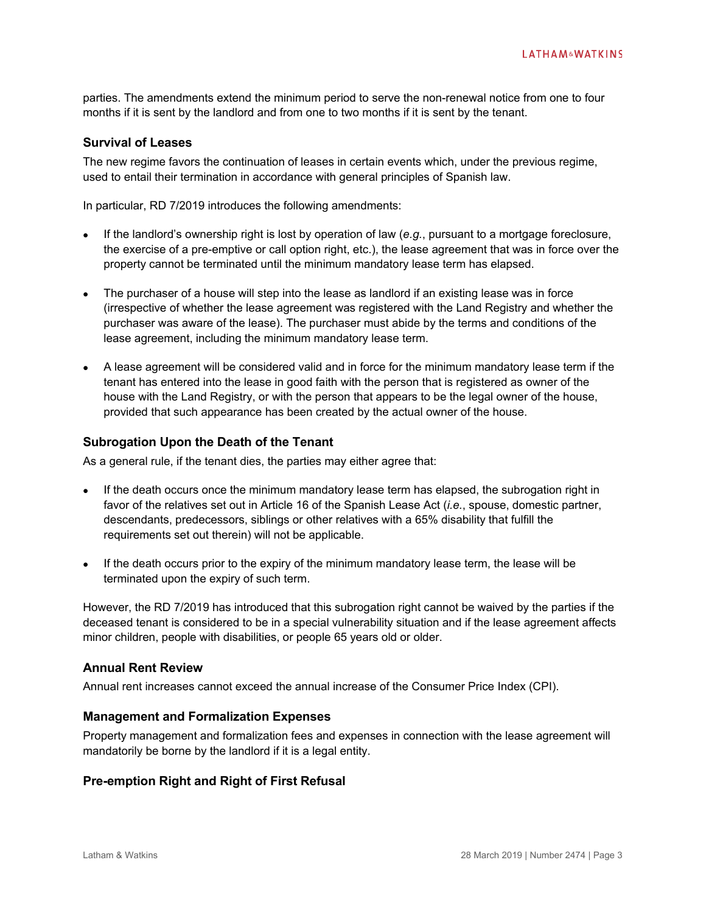parties. The amendments extend the minimum period to serve the non-renewal notice from one to four months if it is sent by the landlord and from one to two months if it is sent by the tenant.

## **Survival of Leases**

The new regime favors the continuation of leases in certain events which, under the previous regime, used to entail their termination in accordance with general principles of Spanish law.

In particular, RD 7/2019 introduces the following amendments:

- If the landlord's ownership right is lost by operation of law (*e.g.*, pursuant to a mortgage foreclosure, the exercise of a pre-emptive or call option right, etc.), the lease agreement that was in force over the property cannot be terminated until the minimum mandatory lease term has elapsed.
- The purchaser of a house will step into the lease as landlord if an existing lease was in force (irrespective of whether the lease agreement was registered with the Land Registry and whether the purchaser was aware of the lease). The purchaser must abide by the terms and conditions of the lease agreement, including the minimum mandatory lease term.
- A lease agreement will be considered valid and in force for the minimum mandatory lease term if the tenant has entered into the lease in good faith with the person that is registered as owner of the house with the Land Registry, or with the person that appears to be the legal owner of the house, provided that such appearance has been created by the actual owner of the house.

### **Subrogation Upon the Death of the Tenant**

As a general rule, if the tenant dies, the parties may either agree that:

- If the death occurs once the minimum mandatory lease term has elapsed, the subrogation right in favor of the relatives set out in Article 16 of the Spanish Lease Act (*i.e.*, spouse, domestic partner, descendants, predecessors, siblings or other relatives with a 65% disability that fulfill the requirements set out therein) will not be applicable.
- If the death occurs prior to the expiry of the minimum mandatory lease term, the lease will be terminated upon the expiry of such term.

However, the RD 7/2019 has introduced that this subrogation right cannot be waived by the parties if the deceased tenant is considered to be in a special vulnerability situation and if the lease agreement affects minor children, people with disabilities, or people 65 years old or older.

## **Annual Rent Review**

Annual rent increases cannot exceed the annual increase of the Consumer Price Index (CPI).

## **Management and Formalization Expenses**

Property management and formalization fees and expenses in connection with the lease agreement will mandatorily be borne by the landlord if it is a legal entity.

## **Pre-emption Right and Right of First Refusal**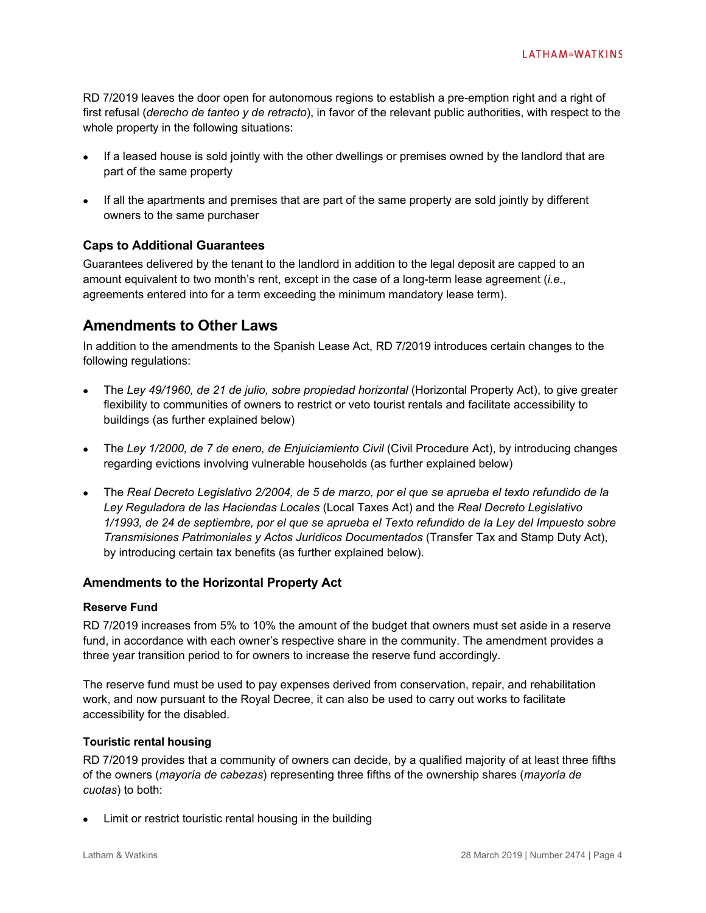RD 7/2019 leaves the door open for autonomous regions to establish a pre-emption right and a right of first refusal (*derecho de tanteo y de retracto*), in favor of the relevant public authorities, with respect to the whole property in the following situations:

- If a leased house is sold jointly with the other dwellings or premises owned by the landlord that are part of the same property
- If all the apartments and premises that are part of the same property are sold jointly by different owners to the same purchaser

## **Caps to Additional Guarantees**

Guarantees delivered by the tenant to the landlord in addition to the legal deposit are capped to an amount equivalent to two month's rent, except in the case of a long-term lease agreement (*i.e.*, agreements entered into for a term exceeding the minimum mandatory lease term).

## **Amendments to Other Laws**

In addition to the amendments to the Spanish Lease Act, RD 7/2019 introduces certain changes to the following regulations:

- The *Ley 49/1960, de 21 de julio, sobre propiedad horizontal* (Horizontal Property Act), to give greater flexibility to communities of owners to restrict or veto tourist rentals and facilitate accessibility to buildings (as further explained below)
- The *Ley 1/2000, de 7 de enero, de Enjuiciamiento Civil* (Civil Procedure Act), by introducing changes regarding evictions involving vulnerable households (as further explained below)
- The *Real Decreto Legislativo 2/2004, de 5 de marzo, por el que se aprueba el texto refundido de la Ley Reguladora de las Haciendas Locales* (Local Taxes Act) and the *Real Decreto Legislativo 1/1993, de 24 de septiembre, por el que se aprueba el Texto refundido de la Ley del Impuesto sobre Transmisiones Patrimoniales y Actos Jurídicos Documentados* (Transfer Tax and Stamp Duty Act), by introducing certain tax benefits (as further explained below).

## **Amendments to the Horizontal Property Act**

## **Reserve Fund**

RD 7/2019 increases from 5% to 10% the amount of the budget that owners must set aside in a reserve fund, in accordance with each owner's respective share in the community. The amendment provides a three year transition period to for owners to increase the reserve fund accordingly.

The reserve fund must be used to pay expenses derived from conservation, repair, and rehabilitation work, and now pursuant to the Royal Decree, it can also be used to carry out works to facilitate accessibility for the disabled.

## **Touristic rental housing**

RD 7/2019 provides that a community of owners can decide, by a qualified majority of at least three fifths of the owners (*mayoría de cabezas*) representing three fifths of the ownership shares (*mayoría de cuotas*) to both:

Limit or restrict touristic rental housing in the building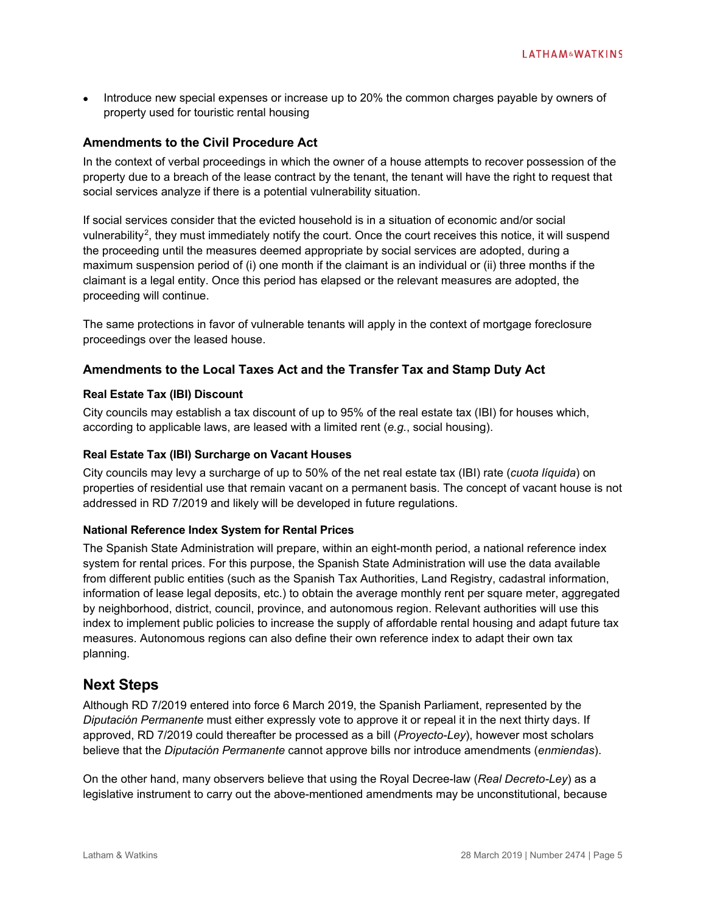• Introduce new special expenses or increase up to 20% the common charges payable by owners of property used for touristic rental housing

## **Amendments to the Civil Procedure Act**

In the context of verbal proceedings in which the owner of a house attempts to recover possession of the property due to a breach of the lease contract by the tenant, the tenant will have the right to request that social services analyze if there is a potential vulnerability situation.

If social services consider that the evicted household is in a situation of economic and/or social vulnerability<sup>[2](#page-5-1)</sup>, they must immediately notify the court. Once the court receives this notice, it will suspend the proceeding until the measures deemed appropriate by social services are adopted, during a maximum suspension period of (i) one month if the claimant is an individual or (ii) three months if the claimant is a legal entity. Once this period has elapsed or the relevant measures are adopted, the proceeding will continue.

The same protections in favor of vulnerable tenants will apply in the context of mortgage foreclosure proceedings over the leased house.

## **Amendments to the Local Taxes Act and the Transfer Tax and Stamp Duty Act**

#### **Real Estate Tax (IBI) Discount**

City councils may establish a tax discount of up to 95% of the real estate tax (IBI) for houses which, according to applicable laws, are leased with a limited rent (*e.g.*, social housing).

#### **Real Estate Tax (IBI) Surcharge on Vacant Houses**

City councils may levy a surcharge of up to 50% of the net real estate tax (IBI) rate (*cuota líquida*) on properties of residential use that remain vacant on a permanent basis. The concept of vacant house is not addressed in RD 7/2019 and likely will be developed in future regulations.

#### **National Reference Index System for Rental Prices**

The Spanish State Administration will prepare, within an eight-month period, a national reference index system for rental prices. For this purpose, the Spanish State Administration will use the data available from different public entities (such as the Spanish Tax Authorities, Land Registry, cadastral information, information of lease legal deposits, etc.) to obtain the average monthly rent per square meter, aggregated by neighborhood, district, council, province, and autonomous region. Relevant authorities will use this index to implement public policies to increase the supply of affordable rental housing and adapt future tax measures. Autonomous regions can also define their own reference index to adapt their own tax planning.

## **Next Steps**

Although RD 7/2019 entered into force 6 March 2019, the Spanish Parliament, represented by the *Diputación Permanente* must either expressly vote to approve it or repeal it in the next thirty days. If approved, RD 7/2019 could thereafter be processed as a bill (*Proyecto-Ley*), however most scholars believe that the *Diputación Permanente* cannot approve bills nor introduce amendments (*enmiendas*).

On the other hand, many observers believe that using the Royal Decree-law (*Real Decreto-Ley*) as a legislative instrument to carry out the above-mentioned amendments may be unconstitutional, because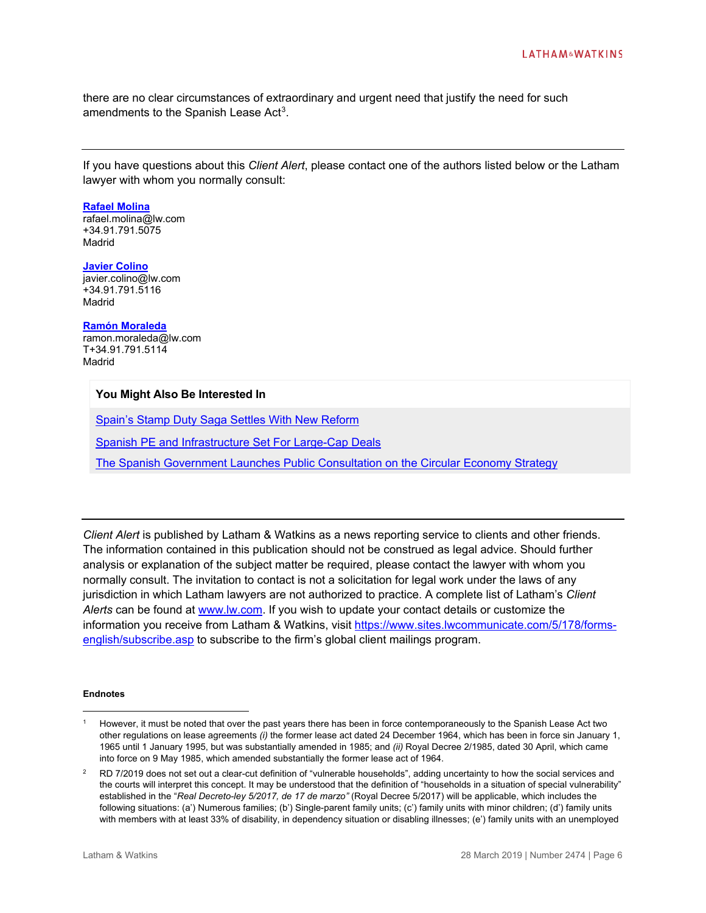there are no clear circumstances of extraordinary and urgent need that justify the need for such amendments to the Spanish Lease Act<sup>[3](#page-6-0)</sup>.

If you have questions about this *Client Alert*, please contact one of the authors listed below or the Latham lawyer with whom you normally consult:

#### **[Rafael Molina](https://www.lw.com/people/rafael-molina)**

rafael.molina@lw.com +34.91.791.5075 Madrid

### **[Javier Colino](https://www.lw.com/people/javier-colino)**

javier.colino@lw.com +34.91.791.5116 Madrid

#### **[Ramón Moraleda](https://www.lw.com/people/ramon-moraleda)**

ramon.moraleda@lw.com T+34.91.791.5114 Madrid

#### **You Might Also Be Interested In**

[Spain's Stamp Duty Saga Settles With New Reform](https://www.lw.com/thoughtLeadership/lw-spain-stamp-duty-saga-settles-with-new-reform)

[Spanish PE and Infrastructure Set For Large-Cap Deals](https://www.latham.london/2018/12/spanish-pe-and-infrastructure-set-for-large-cap-deals/)

[The Spanish Government Launches Public Consultation on the Circular Economy Strategy](https://www.globalelr.com/2018/03/the-spanish-government-launches-public-consultation-on-the-circular-economy-strategy/)

*Client Alert* is published by Latham & Watkins as a news reporting service to clients and other friends. The information contained in this publication should not be construed as legal advice. Should further analysis or explanation of the subject matter be required, please contact the lawyer with whom you normally consult. The invitation to contact is not a solicitation for legal work under the laws of any jurisdiction in which Latham lawyers are not authorized to practice. A complete list of Latham's *Client Alerts* can be found at [www.lw.com.](http://www.lw.com/) If you wish to update your contact details or customize the information you receive from Latham & Watkins, visit [https://www.sites.lwcommunicate.com/5/178/forms](https://www.sites.lwcommunicate.com/5/178/forms-english/subscribe.asp)[english/subscribe.asp](https://www.sites.lwcommunicate.com/5/178/forms-english/subscribe.asp) to subscribe to the firm's global client mailings program.

#### **Endnotes**

 $\overline{a}$ 

<span id="page-5-0"></span>However, it must be noted that over the past years there has been in force contemporaneously to the Spanish Lease Act two other regulations on lease agreements *(i)* the former lease act dated 24 December 1964, which has been in force sin January 1, 1965 until 1 January 1995, but was substantially amended in 1985; and *(ii)* Royal Decree 2/1985, dated 30 April, which came into force on 9 May 1985, which amended substantially the former lease act of 1964.

<span id="page-5-1"></span> $2$  RD 7/2019 does not set out a clear-cut definition of "vulnerable households", adding uncertainty to how the social services and the courts will interpret this concept. It may be understood that the definition of "households in a situation of special vulnerability" established in the "*Real Decreto-ley 5/2017, de 17 de marzo"* (Royal Decree 5/2017) will be applicable, which includes the following situations: (a') Numerous families; (b') Single-parent family units; (c') family units with minor children; (d') family units with members with at least 33% of disability, in dependency situation or disabling illnesses; (e') family units with an unemployed